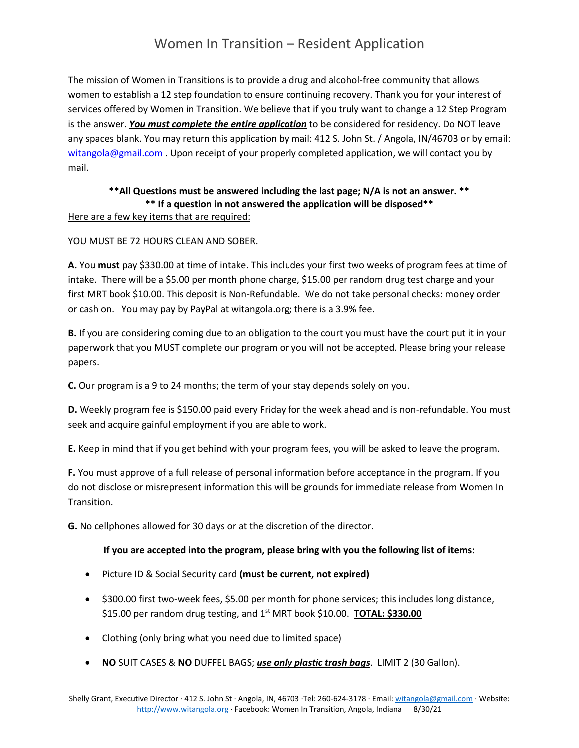The mission of Women in Transitions is to provide a drug and alcohol-free community that allows women to establish a 12 step foundation to ensure continuing recovery. Thank you for your interest of services offered by Women in Transition. We believe that if you truly want to change a 12 Step Program is the answer. *You must complete the entire application* to be considered for residency. Do NOT leave any spaces blank. You may return this application by mail: 412 S. John St. / Angola, IN/46703 or by email: [witangola@gmail.com](mailto:witangola@gmail.com) . Upon receipt of your properly completed application, we will contact you by mail.

### **\*\*All Questions must be answered including the last page; N/A is not an answer. \*\* \*\* If a question in not answered the application will be disposed\*\***

#### Here are a few key items that are required:

#### YOU MUST BE 72 HOURS CLEAN AND SOBER.

**A.** You **must** pay \$330.00 at time of intake. This includes your first two weeks of program fees at time of intake. There will be a \$5.00 per month phone charge, \$15.00 per random drug test charge and your first MRT book \$10.00. This deposit is Non-Refundable. We do not take personal checks: money order or cash on. You may pay by PayPal at witangola.org; there is a 3.9% fee.

**B.** If you are considering coming due to an obligation to the court you must have the court put it in your paperwork that you MUST complete our program or you will not be accepted. Please bring your release papers.

**C.** Our program is a 9 to 24 months; the term of your stay depends solely on you.

**D.** Weekly program fee is \$150.00 paid every Friday for the week ahead and is non-refundable. You must seek and acquire gainful employment if you are able to work.

**E.** Keep in mind that if you get behind with your program fees, you will be asked to leave the program.

**F.** You must approve of a full release of personal information before acceptance in the program. If you do not disclose or misrepresent information this will be grounds for immediate release from Women In Transition.

**G.** No cellphones allowed for 30 days or at the discretion of the director.

#### **If you are accepted into the program, please bring with you the following list of items:**

- Picture ID & Social Security card **(must be current, not expired)**
- \$300.00 first two-week fees, \$5.00 per month for phone services; this includes long distance, \$15.00 per random drug testing, and 1st MRT book \$10.00. **TOTAL: \$330.00**
- Clothing (only bring what you need due to limited space)
- **NO** SUIT CASES & **NO** DUFFEL BAGS; *use only plastic trash bags*. LIMIT 2 (30 Gallon).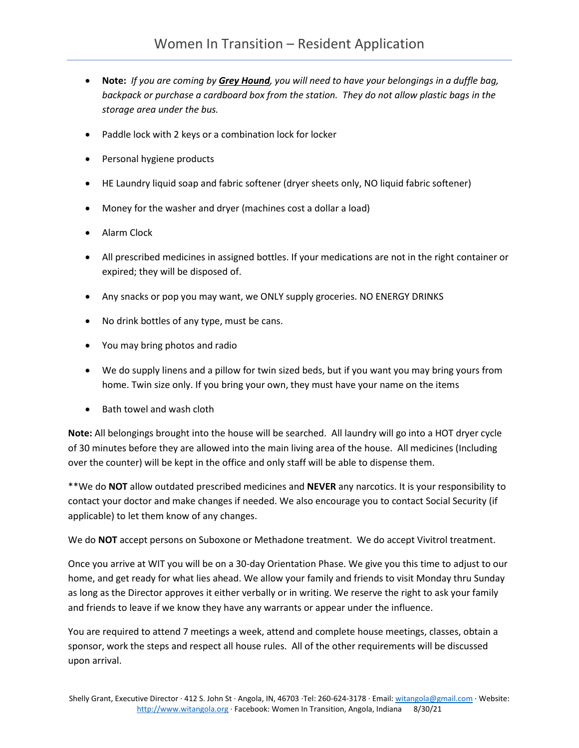- **Note:** *If you are coming by Grey Hound, you will need to have your belongings in a duffle bag, backpack or purchase a cardboard box from the station. They do not allow plastic bags in the storage area under the bus.*
- Paddle lock with 2 keys or a combination lock for locker
- Personal hygiene products
- HE Laundry liquid soap and fabric softener (dryer sheets only, NO liquid fabric softener)
- Money for the washer and dryer (machines cost a dollar a load)
- Alarm Clock
- All prescribed medicines in assigned bottles. If your medications are not in the right container or expired; they will be disposed of.
- Any snacks or pop you may want, we ONLY supply groceries. NO ENERGY DRINKS
- No drink bottles of any type, must be cans.
- You may bring photos and radio
- We do supply linens and a pillow for twin sized beds, but if you want you may bring yours from home. Twin size only. If you bring your own, they must have your name on the items
- Bath towel and wash cloth

**Note:** All belongings brought into the house will be searched. All laundry will go into a HOT dryer cycle of 30 minutes before they are allowed into the main living area of the house. All medicines (Including over the counter) will be kept in the office and only staff will be able to dispense them.

\*\*We do **NOT** allow outdated prescribed medicines and **NEVER** any narcotics. It is your responsibility to contact your doctor and make changes if needed. We also encourage you to contact Social Security (if applicable) to let them know of any changes.

We do **NOT** accept persons on Suboxone or Methadone treatment. We do accept Vivitrol treatment.

Once you arrive at WIT you will be on a 30-day Orientation Phase. We give you this time to adjust to our home, and get ready for what lies ahead. We allow your family and friends to visit Monday thru Sunday as long as the Director approves it either verbally or in writing. We reserve the right to ask your family and friends to leave if we know they have any warrants or appear under the influence.

You are required to attend 7 meetings a week, attend and complete house meetings, classes, obtain a sponsor, work the steps and respect all house rules. All of the other requirements will be discussed upon arrival.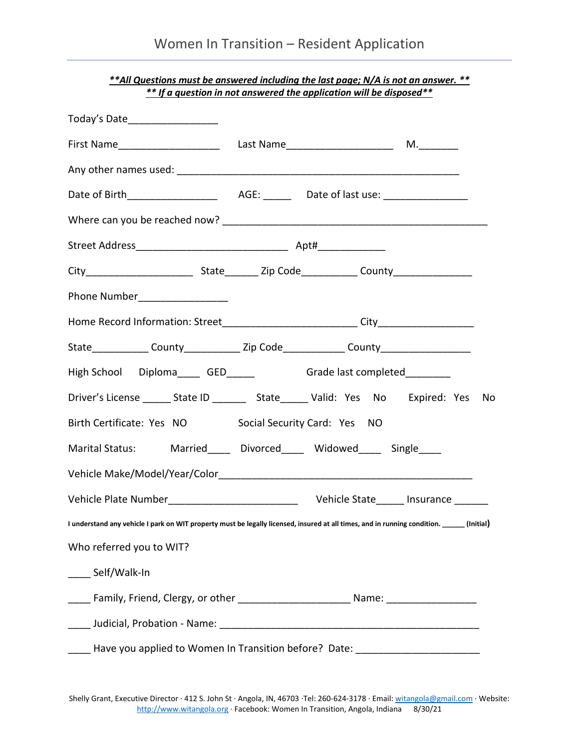|                                                                                                                                            | <u>** If a question in not answered the application will be disposed **</u> |  |
|--------------------------------------------------------------------------------------------------------------------------------------------|-----------------------------------------------------------------------------|--|
| Today's Date___________________                                                                                                            |                                                                             |  |
|                                                                                                                                            |                                                                             |  |
|                                                                                                                                            |                                                                             |  |
|                                                                                                                                            |                                                                             |  |
|                                                                                                                                            |                                                                             |  |
|                                                                                                                                            |                                                                             |  |
|                                                                                                                                            |                                                                             |  |
| Phone Number__________________                                                                                                             |                                                                             |  |
|                                                                                                                                            |                                                                             |  |
| State______________County_______________Zip Code_______________County__________________                                                    |                                                                             |  |
| High School Diploma______ GED_______ Grade last completed_________                                                                         |                                                                             |  |
| Driver's License _______ State ID __________ State ______ Valid: Yes No Expired: Yes No                                                    |                                                                             |  |
| Birth Certificate: Yes NO Social Security Card: Yes NO                                                                                     |                                                                             |  |
| Marital Status: Married____ Divorced____ Widowed____ Single____                                                                            |                                                                             |  |
|                                                                                                                                            |                                                                             |  |
|                                                                                                                                            |                                                                             |  |
| I understand any vehicle I park on WIT property must be legally licensed, insured at all times, and in running condition. ______ (Initial) |                                                                             |  |
| Who referred you to WIT?                                                                                                                   |                                                                             |  |
| ____ Self/Walk-In                                                                                                                          |                                                                             |  |
| _____ Family, Friend, Clergy, or other ______________________________Name: _________________________                                       |                                                                             |  |
|                                                                                                                                            |                                                                             |  |
| _____ Have you applied to Women In Transition before? Date: ____________________                                                           |                                                                             |  |

*\*\*All Questions must be answered including the last page; N/A is not an answer. \*\* \*\* If a question in not answered the application will be disposed\*\**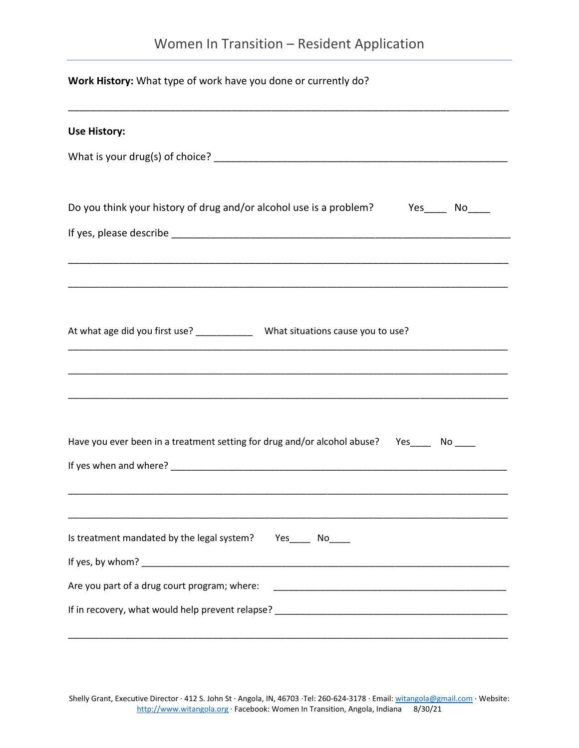# Women In Transition – Resident Application

| Work History: What type of work have you done or currently do?                                                                                                                                                                                                                                 |  |  |
|------------------------------------------------------------------------------------------------------------------------------------------------------------------------------------------------------------------------------------------------------------------------------------------------|--|--|
| <b>Use History:</b>                                                                                                                                                                                                                                                                            |  |  |
|                                                                                                                                                                                                                                                                                                |  |  |
| Do you think your history of drug and/or alcohol use is a problem? Yes____ No____                                                                                                                                                                                                              |  |  |
|                                                                                                                                                                                                                                                                                                |  |  |
|                                                                                                                                                                                                                                                                                                |  |  |
| At what age did you first use? _______________ What situations cause you to use?<br><u> 1989 - Johann John Stone, mars eta biztanleria (h. 1989).</u>                                                                                                                                          |  |  |
|                                                                                                                                                                                                                                                                                                |  |  |
| Have you ever been in a treatment setting for drug and/or alcohol abuse? Yes____ No___                                                                                                                                                                                                         |  |  |
|                                                                                                                                                                                                                                                                                                |  |  |
| Is treatment mandated by the legal system? Yes______ No_____<br>If yes, by whom? The same state of the state of the state of the state of the state of the state of the state of the state of the state of the state of the state of the state of the state of the state of the state of the s |  |  |
| Are you part of a drug court program; where:                                                                                                                                                                                                                                                   |  |  |
|                                                                                                                                                                                                                                                                                                |  |  |

Shelly Grant, Executive Director ∙ 412 S. John St ∙ Angola, IN, 46703 ∙Tel: 260-624-3178 ∙ Email[: witangola@gmail.com](mailto:witangola@gmail.com) ∙ Website: [http://www.witangola.org](http://www.witangola.org/) ∙ Facebook: Women In Transition, Angola, Indiana 8/30/21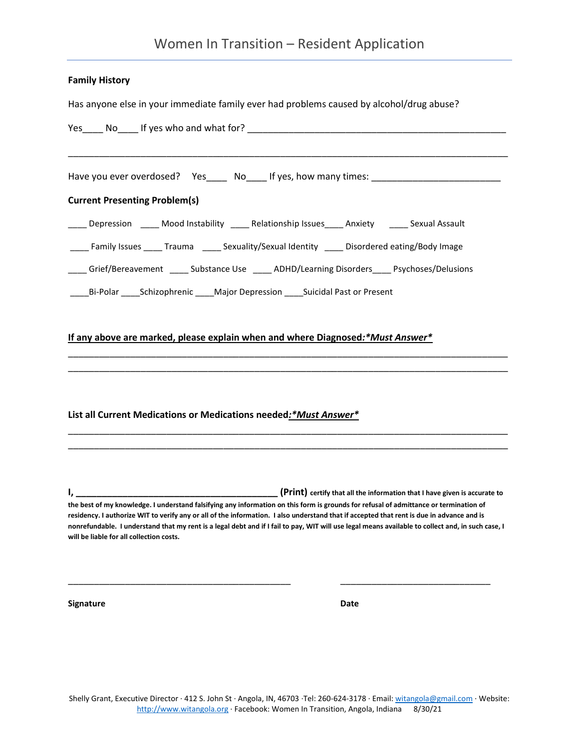## Women In Transition – Resident Application

#### **Family History**

Has anyone else in your immediate family ever had problems caused by alcohol/drug abuse?

| Yes No If yes who and what for?                                                                                                                                                                                                                                                                                                                                                                                                                                                             |                                                                                           |
|---------------------------------------------------------------------------------------------------------------------------------------------------------------------------------------------------------------------------------------------------------------------------------------------------------------------------------------------------------------------------------------------------------------------------------------------------------------------------------------------|-------------------------------------------------------------------------------------------|
| Have you ever overdosed? Yes_____ No____ If yes, how many times: ___________________________________                                                                                                                                                                                                                                                                                                                                                                                        |                                                                                           |
| <b>Current Presenting Problem(s)</b>                                                                                                                                                                                                                                                                                                                                                                                                                                                        |                                                                                           |
| ____ Depression _____ Mood Instability _____ Relationship Issues_____ Anxiety ______ Sexual Assault                                                                                                                                                                                                                                                                                                                                                                                         |                                                                                           |
| ___ Family Issues _____ Trauma ______ Sexuality/Sexual Identity _____ Disordered eating/Body Image                                                                                                                                                                                                                                                                                                                                                                                          |                                                                                           |
| Grief/Bereavement ______ Substance Use ______ ADHD/Learning Disorders_____ Psychoses/Delusions                                                                                                                                                                                                                                                                                                                                                                                              |                                                                                           |
| ___Bi-Polar _____Schizophrenic ____Major Depression ____Suicidal Past or Present                                                                                                                                                                                                                                                                                                                                                                                                            |                                                                                           |
| If any above are marked, please explain when and where Diagnosed:*Must Answer*<br>List all Current Medications or Medications needed:*Must Answer*                                                                                                                                                                                                                                                                                                                                          |                                                                                           |
| I, 1<br>the best of my knowledge. I understand falsifying any information on this form is grounds for refusal of admittance or termination of<br>residency. I authorize WIT to verify any or all of the information. I also understand that if accepted that rent is due in advance and is<br>nonrefundable. I understand that my rent is a legal debt and if I fail to pay, WIT will use legal means available to collect and, in such case, I<br>will be liable for all collection costs. | <b>EXECUTE:</b> (Print) certify that all the information that I have given is accurate to |
| Signature                                                                                                                                                                                                                                                                                                                                                                                                                                                                                   | Date                                                                                      |